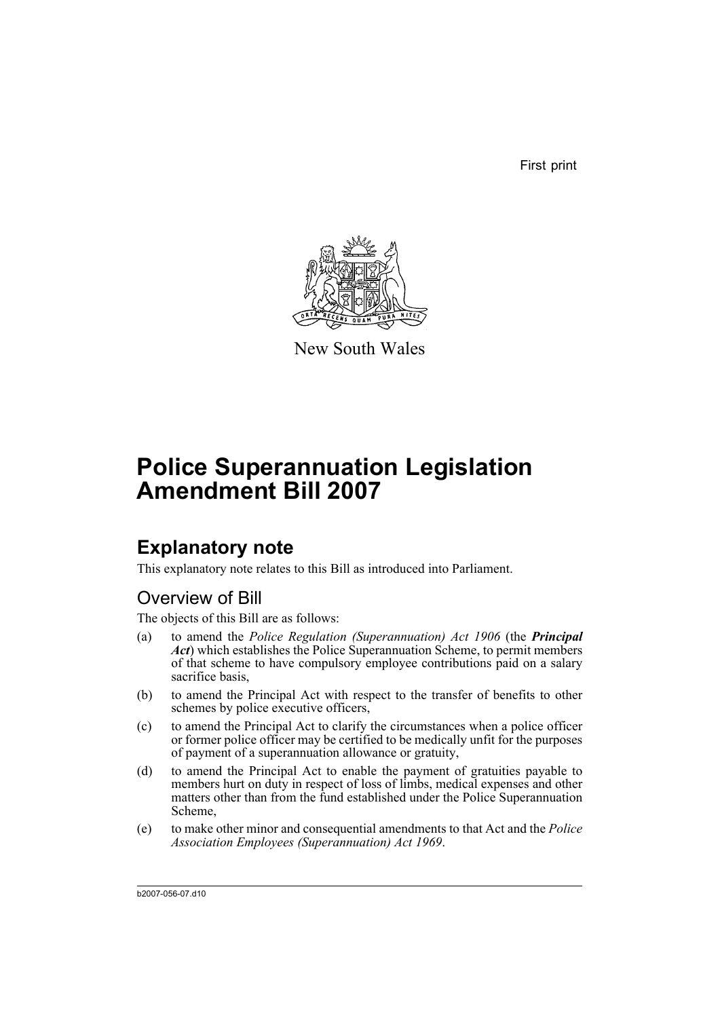First print



New South Wales

# **Police Superannuation Legislation Amendment Bill 2007**

# **Explanatory note**

This explanatory note relates to this Bill as introduced into Parliament.

## Overview of Bill

The objects of this Bill are as follows:

- (a) to amend the *Police Regulation (Superannuation) Act 1906* (the *Principal Act*) which establishes the Police Superannuation Scheme, to permit members of that scheme to have compulsory employee contributions paid on a salary sacrifice basis,
- (b) to amend the Principal Act with respect to the transfer of benefits to other schemes by police executive officers.
- (c) to amend the Principal Act to clarify the circumstances when a police officer or former police officer may be certified to be medically unfit for the purposes of payment of a superannuation allowance or gratuity,
- (d) to amend the Principal Act to enable the payment of gratuities payable to members hurt on duty in respect of loss of limbs, medical expenses and other matters other than from the fund established under the Police Superannuation Scheme,
- (e) to make other minor and consequential amendments to that Act and the *Police Association Employees (Superannuation) Act 1969*.

b2007-056-07.d10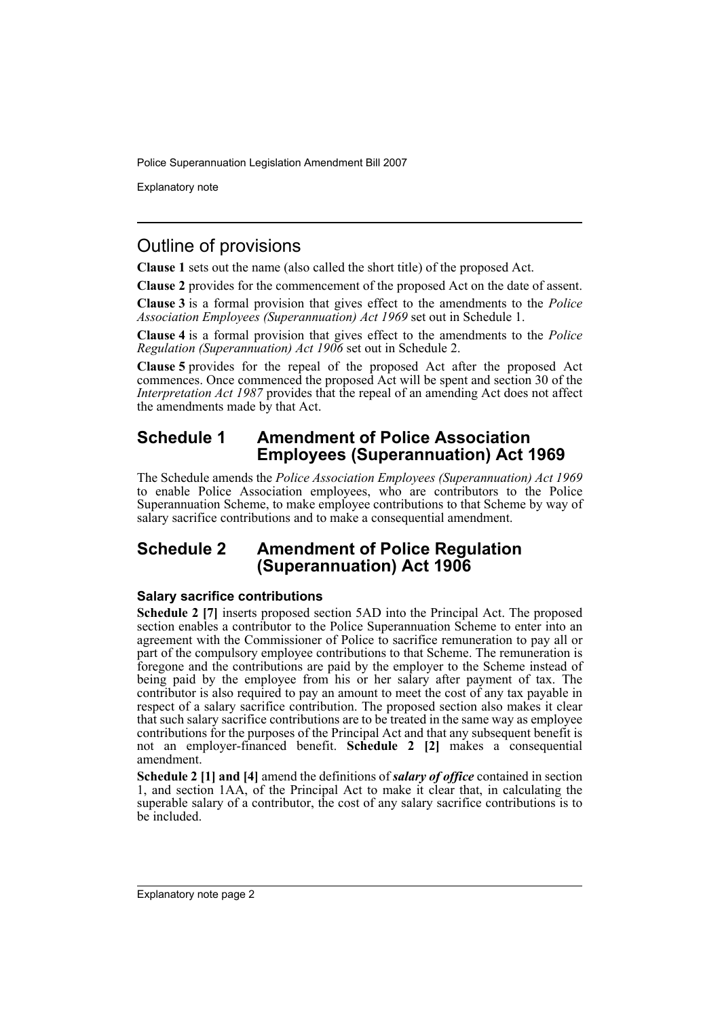Explanatory note

## Outline of provisions

**Clause 1** sets out the name (also called the short title) of the proposed Act.

**Clause 2** provides for the commencement of the proposed Act on the date of assent.

**Clause 3** is a formal provision that gives effect to the amendments to the *Police Association Employees (Superannuation) Act 1969* set out in Schedule 1.

**Clause 4** is a formal provision that gives effect to the amendments to the *Police Regulation (Superannuation) Act 1906* set out in Schedule 2.

**Clause 5** provides for the repeal of the proposed Act after the proposed Act commences. Once commenced the proposed Act will be spent and section 30 of the *Interpretation Act 1987* provides that the repeal of an amending Act does not affect the amendments made by that Act.

## **Schedule 1 Amendment of Police Association Employees (Superannuation) Act 1969**

The Schedule amends the *Police Association Employees (Superannuation) Act 1969* to enable Police Association employees, who are contributors to the Police Superannuation Scheme, to make employee contributions to that Scheme by way of salary sacrifice contributions and to make a consequential amendment.

## **Schedule 2 Amendment of Police Regulation (Superannuation) Act 1906**

### **Salary sacrifice contributions**

**Schedule 2 [7]** inserts proposed section 5AD into the Principal Act. The proposed section enables a contributor to the Police Superannuation Scheme to enter into an agreement with the Commissioner of Police to sacrifice remuneration to pay all or part of the compulsory employee contributions to that Scheme. The remuneration is foregone and the contributions are paid by the employer to the Scheme instead of being paid by the employee from his or her salary after payment of tax. The contributor is also required to pay an amount to meet the cost of any tax payable in respect of a salary sacrifice contribution. The proposed section also makes it clear that such salary sacrifice contributions are to be treated in the same way as employee contributions for the purposes of the Principal Act and that any subsequent benefit is not an employer-financed benefit. **Schedule 2 [2]** makes a consequential amendment.

**Schedule 2 [1] and [4]** amend the definitions of *salary of office* contained in section 1, and section 1AA, of the Principal Act to make it clear that, in calculating the superable salary of a contributor, the cost of any salary sacrifice contributions is to be included.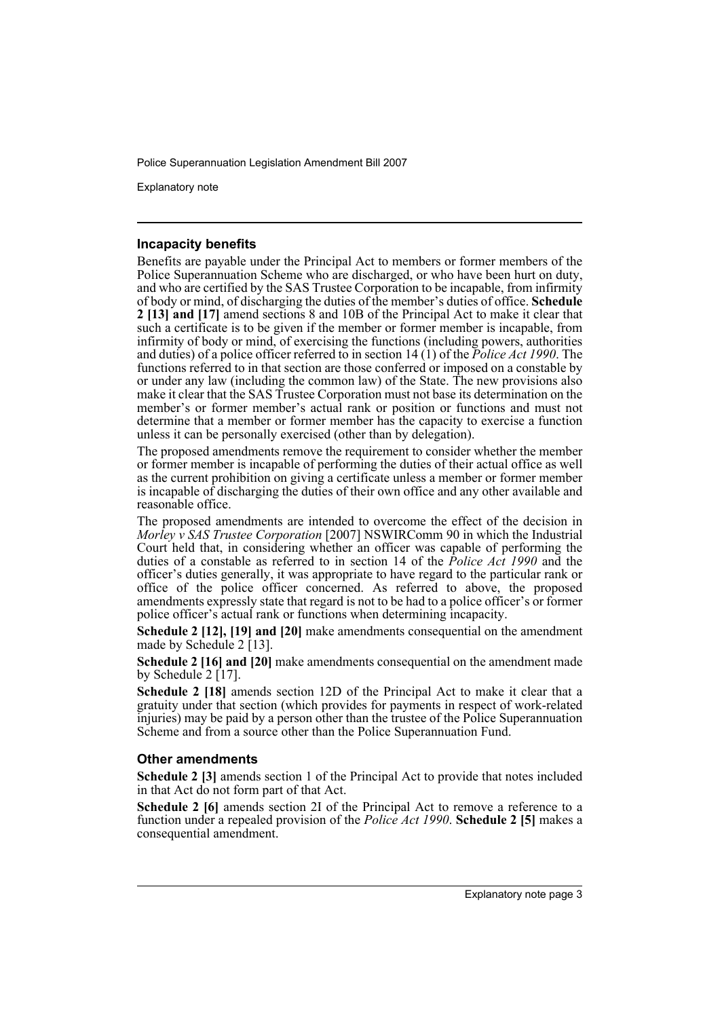Explanatory note

#### **Incapacity benefits**

Benefits are payable under the Principal Act to members or former members of the Police Superannuation Scheme who are discharged, or who have been hurt on duty. and who are certified by the SAS Trustee Corporation to be incapable, from infirmity of body or mind, of discharging the duties of the member's duties of office. **Schedule 2 [13] and [17]** amend sections 8 and 10B of the Principal Act to make it clear that such a certificate is to be given if the member or former member is incapable, from infirmity of body or mind, of exercising the functions (including powers, authorities and duties) of a police officer referred to in section 14 (1) of the *Police Act 1990*. The functions referred to in that section are those conferred or imposed on a constable by or under any law (including the common law) of the State. The new provisions also make it clear that the SAS Trustee Corporation must not base its determination on the member's or former member's actual rank or position or functions and must not determine that a member or former member has the capacity to exercise a function unless it can be personally exercised (other than by delegation).

The proposed amendments remove the requirement to consider whether the member or former member is incapable of performing the duties of their actual office as well as the current prohibition on giving a certificate unless a member or former member is incapable of discharging the duties of their own office and any other available and reasonable office.

The proposed amendments are intended to overcome the effect of the decision in *Morley v SAS Trustee Corporation* [2007] NSWIRComm 90 in which the Industrial Court held that, in considering whether an officer was capable of performing the duties of a constable as referred to in section 14 of the *Police Act 1990* and the officer's duties generally, it was appropriate to have regard to the particular rank or office of the police officer concerned. As referred to above, the proposed amendments expressly state that regard is not to be had to a police officer's or former police officer's actual rank or functions when determining incapacity.

**Schedule 2 [12], [19] and [20]** make amendments consequential on the amendment made by Schedule 2 [13].

**Schedule 2 [16] and [20]** make amendments consequential on the amendment made by Schedule 2 [17].

**Schedule 2 [18]** amends section 12D of the Principal Act to make it clear that a gratuity under that section (which provides for payments in respect of work-related injuries) may be paid by a person other than the trustee of the Police Superannuation Scheme and from a source other than the Police Superannuation Fund.

#### **Other amendments**

**Schedule 2 [3]** amends section 1 of the Principal Act to provide that notes included in that Act do not form part of that Act.

**Schedule 2 [6]** amends section 2I of the Principal Act to remove a reference to a function under a repealed provision of the *Police Act 1990*. **Schedule 2 [5]** makes a consequential amendment.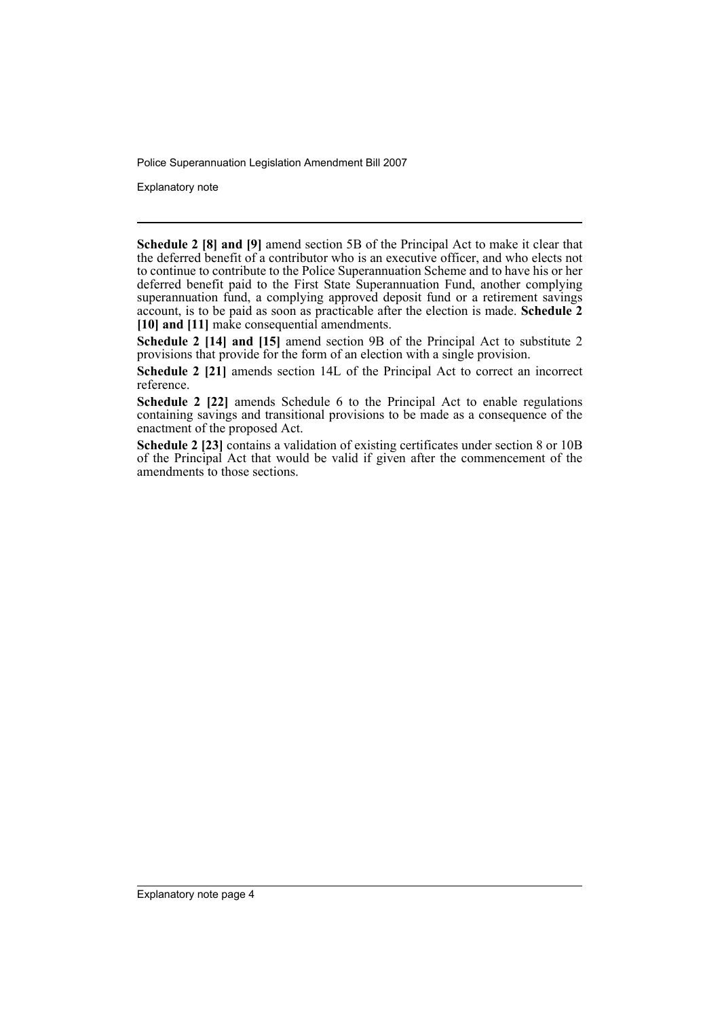Explanatory note

**Schedule 2 [8] and [9]** amend section 5B of the Principal Act to make it clear that the deferred benefit of a contributor who is an executive officer, and who elects not to continue to contribute to the Police Superannuation Scheme and to have his or her deferred benefit paid to the First State Superannuation Fund, another complying superannuation fund, a complying approved deposit fund or a retirement savings account, is to be paid as soon as practicable after the election is made. **Schedule 2 [10] and [11]** make consequential amendments.

**Schedule 2 [14] and [15]** amend section 9B of the Principal Act to substitute 2 provisions that provide for the form of an election with a single provision.

**Schedule 2 [21]** amends section 14L of the Principal Act to correct an incorrect reference.

**Schedule 2 [22]** amends Schedule 6 to the Principal Act to enable regulations containing savings and transitional provisions to be made as a consequence of the enactment of the proposed Act.

**Schedule 2 [23]** contains a validation of existing certificates under section 8 or 10B of the Principal Act that would be valid if given after the commencement of the amendments to those sections.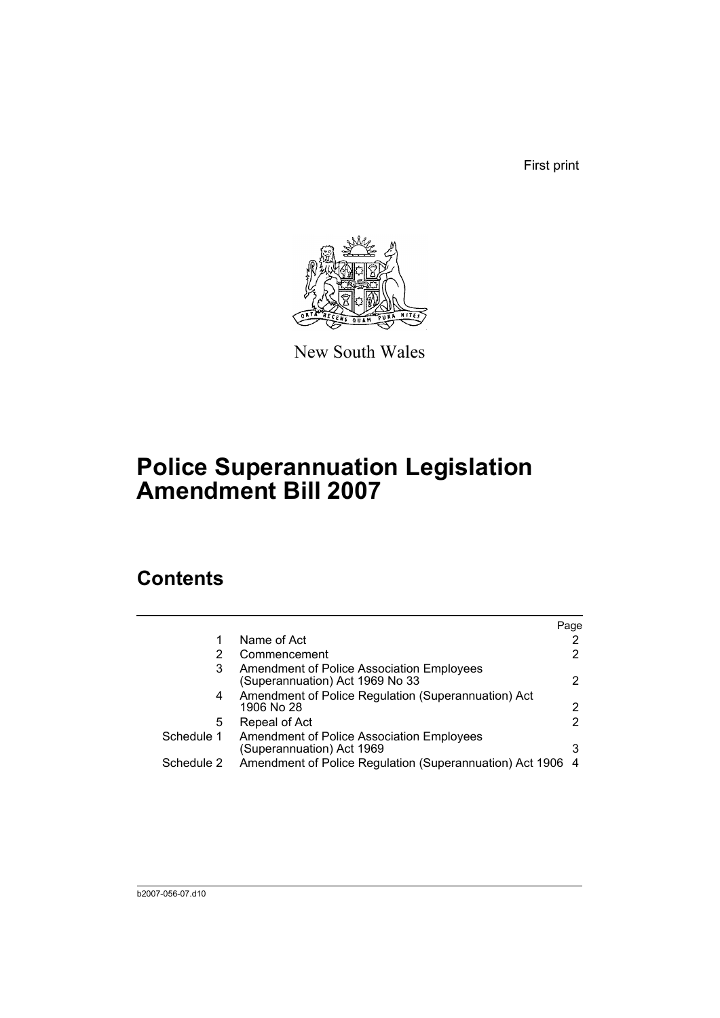First print



New South Wales

# **Police Superannuation Legislation Amendment Bill 2007**

# **Contents**

|            |                                                                              | Page |
|------------|------------------------------------------------------------------------------|------|
|            | Name of Act                                                                  |      |
| 2          | Commencement                                                                 | 2    |
| 3          | Amendment of Police Association Employees<br>(Superannuation) Act 1969 No 33 | 2    |
| 4          | Amendment of Police Regulation (Superannuation) Act<br>1906 No 28            | 2    |
| 5          | Repeal of Act                                                                | 2    |
| Schedule 1 | Amendment of Police Association Employees<br>(Superannuation) Act 1969       | 3    |
| Schedule 2 | Amendment of Police Regulation (Superannuation) Act 1906                     | -4   |
|            |                                                                              |      |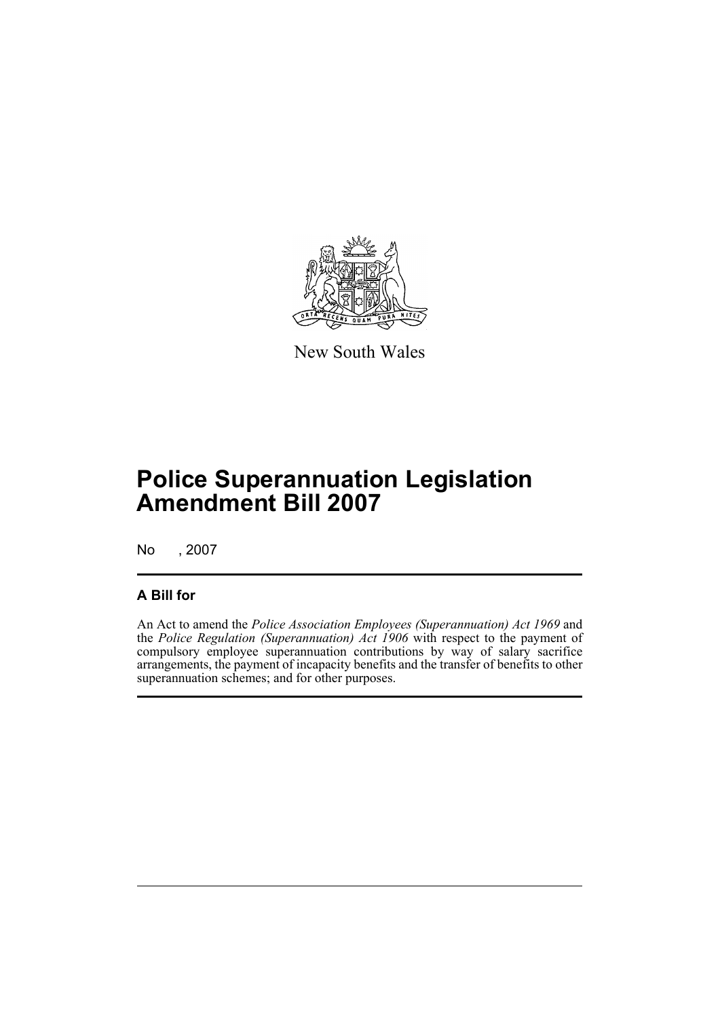

New South Wales

# **Police Superannuation Legislation Amendment Bill 2007**

No , 2007

## **A Bill for**

An Act to amend the *Police Association Employees (Superannuation) Act 1969* and the *Police Regulation (Superannuation) Act 1906* with respect to the payment of compulsory employee superannuation contributions by way of salary sacrifice arrangements, the payment of incapacity benefits and the transfer of benefits to other superannuation schemes; and for other purposes.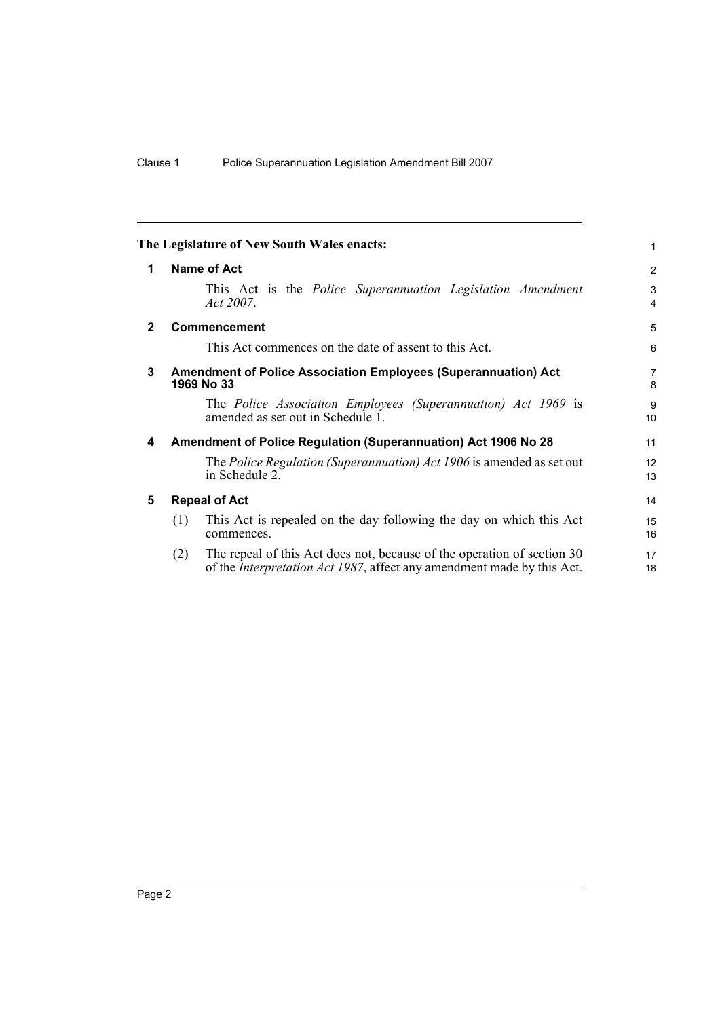<span id="page-7-4"></span><span id="page-7-3"></span><span id="page-7-2"></span><span id="page-7-1"></span><span id="page-7-0"></span>

|              |     | The Legislature of New South Wales enacts:                                                                                                                | 1                   |
|--------------|-----|-----------------------------------------------------------------------------------------------------------------------------------------------------------|---------------------|
| 1            |     | Name of Act                                                                                                                                               | 2                   |
|              |     | This Act is the <i>Police Superannuation Legislation Amendment</i><br>Act 2007.                                                                           | 3<br>$\overline{4}$ |
| $\mathbf{2}$ |     | <b>Commencement</b>                                                                                                                                       | 5                   |
|              |     | This Act commences on the date of assent to this Act.                                                                                                     | 6                   |
| 3            |     | <b>Amendment of Police Association Employees (Superannuation) Act</b><br>1969 No 33                                                                       | $\overline{7}$<br>8 |
|              |     | The Police Association Employees (Superannuation) Act 1969 is<br>amended as set out in Schedule 1.                                                        | 9<br>10             |
| 4            |     | Amendment of Police Regulation (Superannuation) Act 1906 No 28                                                                                            | 11                  |
|              |     | The Police Regulation (Superannuation) Act 1906 is amended as set out<br>in Schedule 2.                                                                   | 12<br>13            |
| 5            |     | <b>Repeal of Act</b>                                                                                                                                      | 14                  |
|              | (1) | This Act is repealed on the day following the day on which this Act<br>commences.                                                                         | 15<br>16            |
|              | (2) | The repeal of this Act does not, because of the operation of section 30<br>of the <i>Interpretation Act 1987</i> , affect any amendment made by this Act. | 17<br>18            |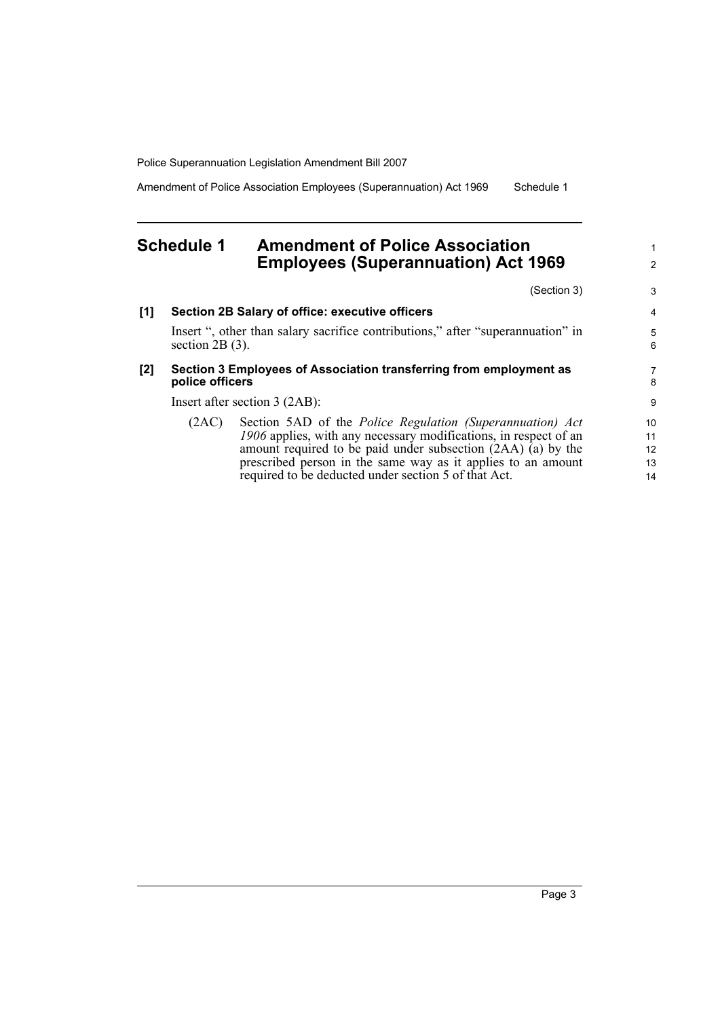Amendment of Police Association Employees (Superannuation) Act 1969 Schedule 1

## <span id="page-8-0"></span>**Schedule 1 Amendment of Police Association Employees (Superannuation) Act 1969**

(Section 3)

1 2

3

| [1] |                                 | Section 2B Salary of office: executive officers                                 | 4      |  |  |
|-----|---------------------------------|---------------------------------------------------------------------------------|--------|--|--|
|     | section $2B(3)$ .               | Insert ", other than salary sacrifice contributions," after "superannuation" in | 5<br>6 |  |  |
| [2] | police officers                 | Section 3 Employees of Association transferring from employment as              | 7<br>8 |  |  |
|     | Insert after section $3$ (2AB): |                                                                                 |        |  |  |
|     | (2AC)                           | Section 5AD of the <i>Police Regulation (Superannuation) Act</i>                | 10     |  |  |
|     |                                 | 1906 applies, with any necessary modifications, in respect of an                | 11     |  |  |
|     |                                 | amount required to be paid under subsection $(2AA)$ (a) by the                  | 12     |  |  |
|     |                                 | prescribed person in the same way as it applies to an amount                    | 13     |  |  |
|     |                                 | required to be deducted under section 5 of that Act.                            | 14     |  |  |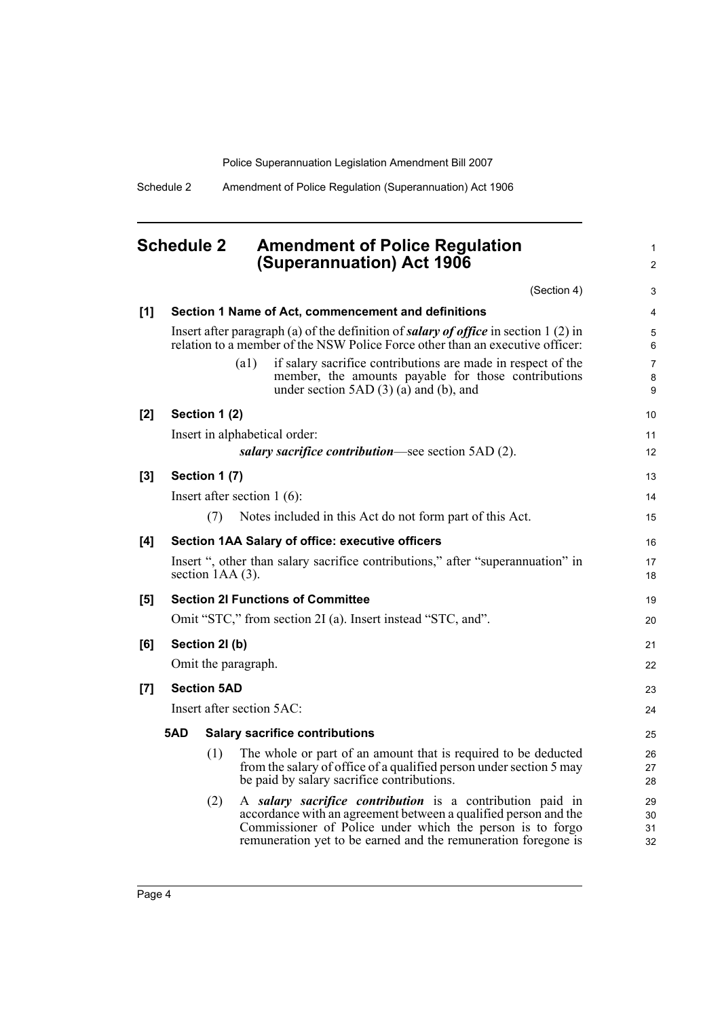1 2

Schedule 2 Amendment of Police Regulation (Superannuation) Act 1906

## <span id="page-9-0"></span>**Schedule 2 Amendment of Police Regulation (Superannuation) Act 1906**

|       |     |                     |      | (Section 4)                                                                                                                                                                                                                                                 | 3                                             |
|-------|-----|---------------------|------|-------------------------------------------------------------------------------------------------------------------------------------------------------------------------------------------------------------------------------------------------------------|-----------------------------------------------|
| [1]   |     |                     |      | Section 1 Name of Act, commencement and definitions                                                                                                                                                                                                         | 4                                             |
|       |     |                     |      | Insert after paragraph (a) of the definition of salary of office in section 1 (2) in<br>relation to a member of the NSW Police Force other than an executive officer:                                                                                       | 5<br>6                                        |
|       |     |                     | (a1) | if salary sacrifice contributions are made in respect of the<br>member, the amounts payable for those contributions<br>under section $5AD(3)$ (a) and (b), and                                                                                              | $\overline{7}$<br>$\bf 8$<br>$\boldsymbol{9}$ |
| $[2]$ |     | Section 1 (2)       |      |                                                                                                                                                                                                                                                             | 10                                            |
|       |     |                     |      | Insert in alphabetical order:                                                                                                                                                                                                                               | 11                                            |
|       |     |                     |      | salary sacrifice contribution—see section 5AD (2).                                                                                                                                                                                                          | 12                                            |
| $[3]$ |     | Section 1 (7)       |      |                                                                                                                                                                                                                                                             | 13                                            |
|       |     |                     |      | Insert after section $1(6)$ :                                                                                                                                                                                                                               | 14                                            |
|       |     | (7)                 |      | Notes included in this Act do not form part of this Act.                                                                                                                                                                                                    | 15                                            |
| [4]   |     |                     |      | Section 1AA Salary of office: executive officers                                                                                                                                                                                                            | 16                                            |
|       |     | section $1AA(3)$ .  |      | Insert ", other than salary sacrifice contributions," after "superannuation" in                                                                                                                                                                             | 17<br>18                                      |
| [5]   |     |                     |      | <b>Section 2I Functions of Committee</b>                                                                                                                                                                                                                    | 19                                            |
|       |     |                     |      | Omit "STC," from section 2I (a). Insert instead "STC, and".                                                                                                                                                                                                 | 20                                            |
| [6]   |     | Section 21(b)       |      |                                                                                                                                                                                                                                                             | 21                                            |
|       |     | Omit the paragraph. |      |                                                                                                                                                                                                                                                             | 22                                            |
| [7]   |     | <b>Section 5AD</b>  |      |                                                                                                                                                                                                                                                             | 23                                            |
|       |     |                     |      | Insert after section 5AC:                                                                                                                                                                                                                                   | 24                                            |
|       | 5AD |                     |      | <b>Salary sacrifice contributions</b>                                                                                                                                                                                                                       | 25                                            |
|       |     | (1)                 |      | The whole or part of an amount that is required to be deducted<br>from the salary of office of a qualified person under section 5 may<br>be paid by salary sacrifice contributions.                                                                         | 26<br>27<br>28                                |
|       |     | (2)                 |      | A salary sacrifice contribution is a contribution paid in<br>accordance with an agreement between a qualified person and the<br>Commissioner of Police under which the person is to forgo<br>remuneration yet to be earned and the remuneration foregone is | 29<br>30<br>31<br>32                          |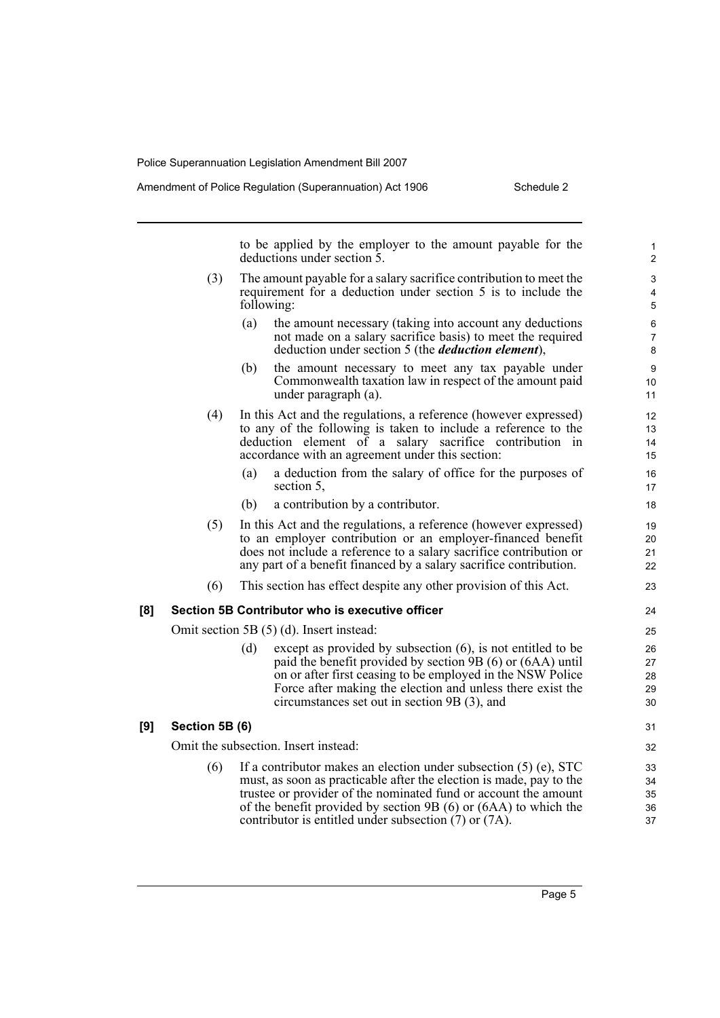to be applied by the employer to the amount payable for the deductions under section 5.

- (3) The amount payable for a salary sacrifice contribution to meet the requirement for a deduction under section 5 is to include the following:
	- (a) the amount necessary (taking into account any deductions not made on a salary sacrifice basis) to meet the required deduction under section 5 (the *deduction element*),
	- (b) the amount necessary to meet any tax payable under Commonwealth taxation law in respect of the amount paid under paragraph (a).
- (4) In this Act and the regulations, a reference (however expressed) to any of the following is taken to include a reference to the deduction element of a salary sacrifice contribution in accordance with an agreement under this section:
	- (a) a deduction from the salary of office for the purposes of section 5,
	- (b) a contribution by a contributor.
- (5) In this Act and the regulations, a reference (however expressed) to an employer contribution or an employer-financed benefit does not include a reference to a salary sacrifice contribution or any part of a benefit financed by a salary sacrifice contribution.
- (6) This section has effect despite any other provision of this Act.

#### **[8] Section 5B Contributor who is executive officer**

Omit section 5B (5) (d). Insert instead:

(d) except as provided by subsection (6), is not entitled to be paid the benefit provided by section 9B (6) or (6AA) until on or after first ceasing to be employed in the NSW Police Force after making the election and unless there exist the circumstances set out in section 9B (3), and

#### **[9] Section 5B (6)**

Omit the subsection. Insert instead:

(6) If a contributor makes an election under subsection (5) (e), STC must, as soon as practicable after the election is made, pay to the trustee or provider of the nominated fund or account the amount of the benefit provided by section 9B (6) or (6AA) to which the contributor is entitled under subsection (7) or (7A).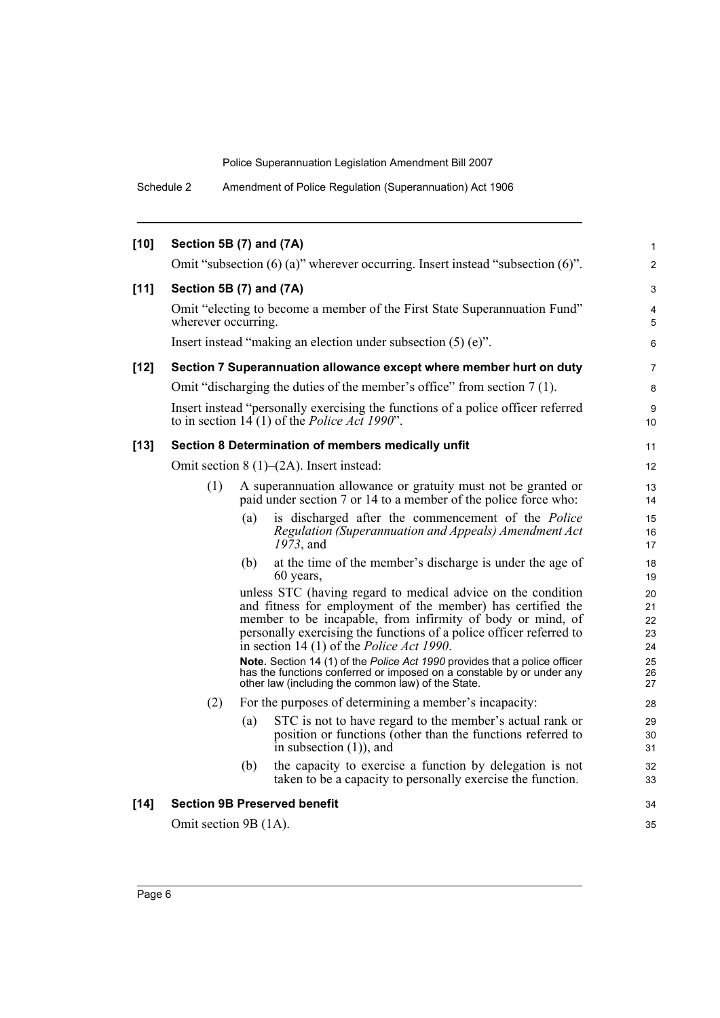Schedule 2 Amendment of Police Regulation (Superannuation) Act 1906

| $[10]$ | Section 5B (7) and (7A) |     |                                                                                                                                                                                                                                                                                                                                                                                                                                                                                                                                    | $\mathbf{1}$                           |
|--------|-------------------------|-----|------------------------------------------------------------------------------------------------------------------------------------------------------------------------------------------------------------------------------------------------------------------------------------------------------------------------------------------------------------------------------------------------------------------------------------------------------------------------------------------------------------------------------------|----------------------------------------|
|        |                         |     | Omit "subsection $(6)$ (a)" wherever occurring. Insert instead "subsection $(6)$ ".                                                                                                                                                                                                                                                                                                                                                                                                                                                | $\overline{2}$                         |
| $[11]$ | Section 5B (7) and (7A) |     |                                                                                                                                                                                                                                                                                                                                                                                                                                                                                                                                    | 3                                      |
|        | wherever occurring.     |     | Omit "electing to become a member of the First State Superannuation Fund"                                                                                                                                                                                                                                                                                                                                                                                                                                                          | 4<br>5                                 |
|        |                         |     | Insert instead "making an election under subsection $(5)$ (e)".                                                                                                                                                                                                                                                                                                                                                                                                                                                                    | 6                                      |
| $[12]$ |                         |     | Section 7 Superannuation allowance except where member hurt on duty                                                                                                                                                                                                                                                                                                                                                                                                                                                                | 7                                      |
|        |                         |     | Omit "discharging the duties of the member's office" from section 7(1).                                                                                                                                                                                                                                                                                                                                                                                                                                                            | 8                                      |
|        |                         |     | Insert instead "personally exercising the functions of a police officer referred<br>to in section $14(1)$ of the <i>Police Act 1990</i> ".                                                                                                                                                                                                                                                                                                                                                                                         | 9<br>10                                |
| $[13]$ |                         |     | Section 8 Determination of members medically unfit                                                                                                                                                                                                                                                                                                                                                                                                                                                                                 | 11                                     |
|        |                         |     | Omit section $8(1)$ – $(2A)$ . Insert instead:                                                                                                                                                                                                                                                                                                                                                                                                                                                                                     | 12                                     |
|        | (1)                     |     | A superannuation allowance or gratuity must not be granted or<br>paid under section 7 or 14 to a member of the police force who:                                                                                                                                                                                                                                                                                                                                                                                                   | 13<br>14                               |
|        |                         | (a) | is discharged after the commencement of the <i>Police</i><br>Regulation (Superannuation and Appeals) Amendment Act<br>$19\bar{7}3$ , and                                                                                                                                                                                                                                                                                                                                                                                           | 15<br>16<br>17                         |
|        |                         | (b) | at the time of the member's discharge is under the age of<br>60 years,                                                                                                                                                                                                                                                                                                                                                                                                                                                             | 18<br>19                               |
|        |                         |     | unless STC (having regard to medical advice on the condition<br>and fitness for employment of the member) has certified the<br>member to be incapable, from infirmity of body or mind, of<br>personally exercising the functions of a police officer referred to<br>in section 14 (1) of the <i>Police Act 1990</i> .<br>Note. Section 14 (1) of the Police Act 1990 provides that a police officer<br>has the functions conferred or imposed on a constable by or under any<br>other law (including the common law) of the State. | 20<br>21<br>22<br>23<br>24<br>25<br>26 |
|        | (2)                     |     | For the purposes of determining a member's incapacity:                                                                                                                                                                                                                                                                                                                                                                                                                                                                             | 27<br>28                               |
|        |                         | (a) | STC is not to have regard to the member's actual rank or<br>position or functions (other than the functions referred to<br>in subsection $(1)$ , and                                                                                                                                                                                                                                                                                                                                                                               | 29<br>30<br>31                         |
|        |                         | (b) | the capacity to exercise a function by delegation is not<br>taken to be a capacity to personally exercise the function.                                                                                                                                                                                                                                                                                                                                                                                                            | 32<br>33                               |
| $[14]$ |                         |     | <b>Section 9B Preserved benefit</b>                                                                                                                                                                                                                                                                                                                                                                                                                                                                                                | 34                                     |
|        | Omit section 9B (1A).   |     |                                                                                                                                                                                                                                                                                                                                                                                                                                                                                                                                    | 35                                     |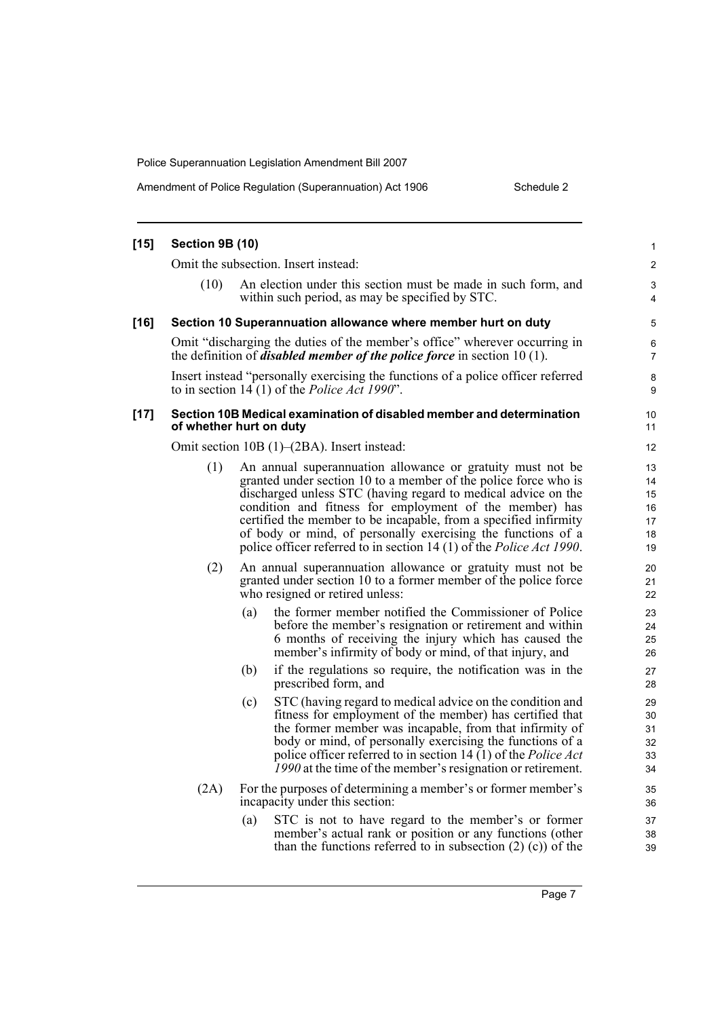Amendment of Police Regulation (Superannuation) Act 1906 Schedule 2

| $[15]$ | Section 9B (10) |                                                                                                                                                                                                                                                                                                                                                                                                                                                                               | 1                                      |
|--------|-----------------|-------------------------------------------------------------------------------------------------------------------------------------------------------------------------------------------------------------------------------------------------------------------------------------------------------------------------------------------------------------------------------------------------------------------------------------------------------------------------------|----------------------------------------|
|        |                 | Omit the subsection. Insert instead:                                                                                                                                                                                                                                                                                                                                                                                                                                          | $\overline{\mathbf{c}}$                |
|        | (10)            | An election under this section must be made in such form, and<br>within such period, as may be specified by STC.                                                                                                                                                                                                                                                                                                                                                              | 3<br>4                                 |
| $[16]$ |                 | Section 10 Superannuation allowance where member hurt on duty                                                                                                                                                                                                                                                                                                                                                                                                                 | 5                                      |
|        |                 | Omit "discharging the duties of the member's office" wherever occurring in<br>the definition of <i>disabled member of the police force</i> in section $10(1)$ .                                                                                                                                                                                                                                                                                                               | 6<br>7                                 |
|        |                 | Insert instead "personally exercising the functions of a police officer referred<br>to in section $14(1)$ of the <i>Police Act 1990</i> ".                                                                                                                                                                                                                                                                                                                                    | 8<br>9                                 |
| $[17]$ |                 | Section 10B Medical examination of disabled member and determination<br>of whether hurt on duty                                                                                                                                                                                                                                                                                                                                                                               | 10<br>11                               |
|        |                 | Omit section 10B (1)–(2BA). Insert instead:                                                                                                                                                                                                                                                                                                                                                                                                                                   | 12                                     |
|        | (1)             | An annual superannuation allowance or gratuity must not be<br>granted under section 10 to a member of the police force who is<br>discharged unless STC (having regard to medical advice on the<br>condition and fitness for employment of the member) has<br>certified the member to be incapable, from a specified infirmity<br>of body or mind, of personally exercising the functions of a<br>police officer referred to in section 14 (1) of the <i>Police Act 1990</i> . | 13<br>14<br>15<br>16<br>17<br>18<br>19 |
|        | (2)             | An annual superannuation allowance or gratuity must not be<br>granted under section 10 to a former member of the police force<br>who resigned or retired unless:                                                                                                                                                                                                                                                                                                              | 20<br>21<br>22                         |
|        |                 | the former member notified the Commissioner of Police<br>(a)<br>before the member's resignation or retirement and within<br>6 months of receiving the injury which has caused the<br>member's infirmity of body or mind, of that injury, and                                                                                                                                                                                                                                  | 23<br>24<br>25<br>26                   |
|        |                 | if the regulations so require, the notification was in the<br>(b)<br>prescribed form, and                                                                                                                                                                                                                                                                                                                                                                                     | 27<br>28                               |
|        |                 | STC (having regard to medical advice on the condition and<br>(c)<br>fitness for employment of the member) has certified that<br>the former member was incapable, from that infirmity of<br>body or mind, of personally exercising the functions of a<br>police officer referred to in section 14 (1) of the Police Act<br>1990 at the time of the member's resignation or retirement.                                                                                         | 29<br>30<br>31<br>32<br>33<br>34       |
|        | (2A)            | For the purposes of determining a member's or former member's<br>incapacity under this section:                                                                                                                                                                                                                                                                                                                                                                               | 35<br>36                               |
|        |                 | STC is not to have regard to the member's or former<br>(a)<br>member's actual rank or position or any functions (other<br>than the functions referred to in subsection $(2)$ $(c)$ of the                                                                                                                                                                                                                                                                                     | 37<br>38<br>39                         |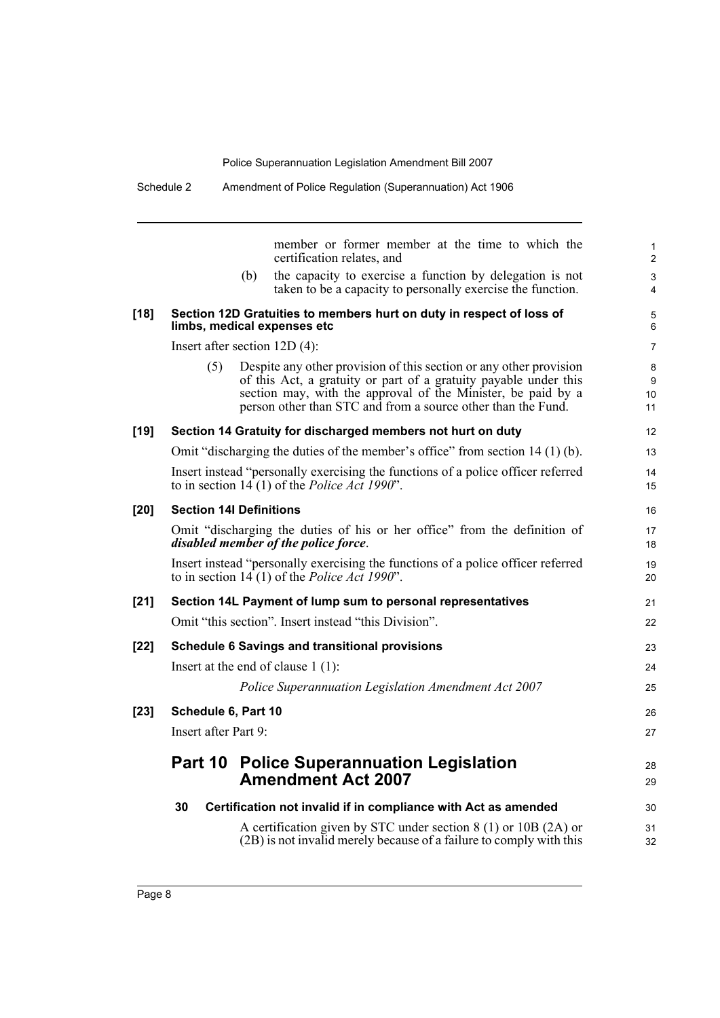21 22

28 29

30 31 32

Schedule 2 Amendment of Police Regulation (Superannuation) Act 1906

|        |                                      | member or former member at the time to which the<br>certification relates, and                                                                                                                                                                                         |  |  |
|--------|--------------------------------------|------------------------------------------------------------------------------------------------------------------------------------------------------------------------------------------------------------------------------------------------------------------------|--|--|
|        | (b)                                  | the capacity to exercise a function by delegation is not<br>taken to be a capacity to personally exercise the function.                                                                                                                                                |  |  |
| $[18]$ | limbs, medical expenses etc          | Section 12D Gratuities to members hurt on duty in respect of loss of                                                                                                                                                                                                   |  |  |
|        | Insert after section $12D(4)$ :      |                                                                                                                                                                                                                                                                        |  |  |
|        | (5)                                  | Despite any other provision of this section or any other provision<br>of this Act, a gratuity or part of a gratuity payable under this<br>section may, with the approval of the Minister, be paid by a<br>person other than STC and from a source other than the Fund. |  |  |
| $[19]$ |                                      | Section 14 Gratuity for discharged members not hurt on duty                                                                                                                                                                                                            |  |  |
|        |                                      | Omit "discharging the duties of the member's office" from section 14 (1) (b).                                                                                                                                                                                          |  |  |
|        |                                      | Insert instead "personally exercising the functions of a police officer referred<br>to in section $14(1)$ of the <i>Police Act 1990</i> ".                                                                                                                             |  |  |
| $[20]$ | <b>Section 14I Definitions</b>       |                                                                                                                                                                                                                                                                        |  |  |
|        | disabled member of the police force. | Omit "discharging the duties of his or her office" from the definition of                                                                                                                                                                                              |  |  |
|        |                                      | Insert instead "personally exercising the functions of a police officer referred<br>to in section $14(1)$ of the <i>Police Act 1990</i> ".                                                                                                                             |  |  |
| $[21]$ |                                      | Section 14L Payment of lump sum to personal representatives                                                                                                                                                                                                            |  |  |
|        |                                      | Omit "this section". Insert instead "this Division".                                                                                                                                                                                                                   |  |  |
| $[22]$ |                                      | <b>Schedule 6 Savings and transitional provisions</b>                                                                                                                                                                                                                  |  |  |
|        | Insert at the end of clause $1(1)$ : |                                                                                                                                                                                                                                                                        |  |  |
|        |                                      | Police Superannuation Legislation Amendment Act 2007                                                                                                                                                                                                                   |  |  |
| $[23]$ | Schedule 6, Part 10                  |                                                                                                                                                                                                                                                                        |  |  |
|        | Insert after Part 9:                 |                                                                                                                                                                                                                                                                        |  |  |
|        |                                      | <b>Part 10 Police Superannuation Legislation</b><br><b>Amendment Act 2007</b>                                                                                                                                                                                          |  |  |
|        | 30                                   | Certification not invalid if in compliance with Act as amended                                                                                                                                                                                                         |  |  |
|        |                                      |                                                                                                                                                                                                                                                                        |  |  |

A certification given by STC under section 8 (1) or 10B (2A) or (2B) is not invalid merely because of a failure to comply with this